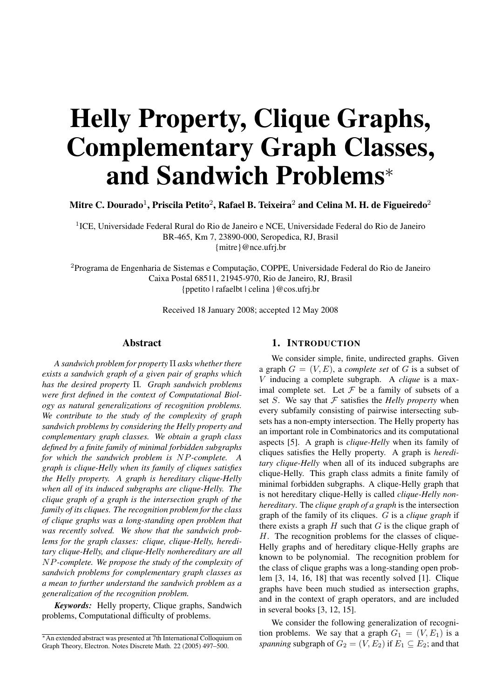# Helly Property, Clique Graphs, Complementary Graph Classes, and Sandwich Problems<sup>∗</sup>

Mitre C. Dourado<sup>1</sup>, Priscila Petito<sup>2</sup>, Rafael B. Teixeira<sup>2</sup> and Celina M. H. de Figueiredo<sup>2</sup>

<sup>1</sup>ICE, Universidade Federal Rural do Rio de Janeiro e NCE, Universidade Federal do Rio de Janeiro BR-465, Km 7, 23890-000, Seropedica, RJ, Brasil {mitre}@nce.ufrj.br

<sup>2</sup>Programa de Engenharia de Sistemas e Computação, COPPE, Universidade Federal do Rio de Janeiro Caixa Postal 68511, 21945-970, Rio de Janeiro, RJ, Brasil {ppetito | rafaelbt | celina }@cos.ufrj.br

Received 18 January 2008; accepted 12 May 2008

### Abstract

*A sandwich problem for property* Π *asks whether there exists a sandwich graph of a given pair of graphs which has the desired property* Π*. Graph sandwich problems were first defined in the context of Computational Biology as natural generalizations of recognition problems. We contribute to the study of the complexity of graph sandwich problems by considering the Helly property and complementary graph classes. We obtain a graph class defined by a finite family of minimal forbidden subgraphs for which the sandwich problem is* NP*-complete. A graph is clique-Helly when its family of cliques satisfies the Helly property. A graph is hereditary clique-Helly when all of its induced subgraphs are clique-Helly. The clique graph of a graph is the intersection graph of the family of its cliques. The recognition problem for the class of clique graphs was a long-standing open problem that was recently solved. We show that the sandwich problems for the graph classes: clique, clique-Helly, hereditary clique-Helly, and clique-Helly nonhereditary are all* NP*-complete. We propose the study of the complexity of sandwich problems for complementary graph classes as a mean to further understand the sandwich problem as a generalization of the recognition problem.*

*Keywords:* Helly property, Clique graphs, Sandwich problems, Computational difficulty of problems.

#### 1. INTRODUCTION

We consider simple, finite, undirected graphs. Given a graph  $G = (V, E)$ , a *complete set* of G is a subset of V inducing a complete subgraph. A *clique* is a maximal complete set. Let  $F$  be a family of subsets of a set  $S$ . We say that  $F$  satisfies the *Helly property* when every subfamily consisting of pairwise intersecting subsets has a non-empty intersection. The Helly property has an important role in Combinatorics and its computational aspects [5]. A graph is *clique-Helly* when its family of cliques satisfies the Helly property. A graph is *hereditary clique-Helly* when all of its induced subgraphs are clique-Helly. This graph class admits a finite family of minimal forbidden subgraphs. A clique-Helly graph that is not hereditary clique-Helly is called *clique-Helly nonhereditary*. The *clique graph of a graph* is the intersection graph of the family of its cliques. G is a *clique graph* if there exists a graph  $H$  such that  $G$  is the clique graph of H. The recognition problems for the classes of clique-Helly graphs and of hereditary clique-Helly graphs are known to be polynomial. The recognition problem for the class of clique graphs was a long-standing open problem [3, 14, 16, 18] that was recently solved [1]. Clique graphs have been much studied as intersection graphs, and in the context of graph operators, and are included in several books [3, 12, 15].

We consider the following generalization of recognition problems. We say that a graph  $G_1 = (V, E_1)$  is a *spanning* subgraph of  $G_2 = (V, E_2)$  if  $E_1 \subseteq E_2$ ; and that

<sup>∗</sup>An extended abstract was presented at 7th International Colloquium on Graph Theory, Electron. Notes Discrete Math. 22 (2005) 497–500.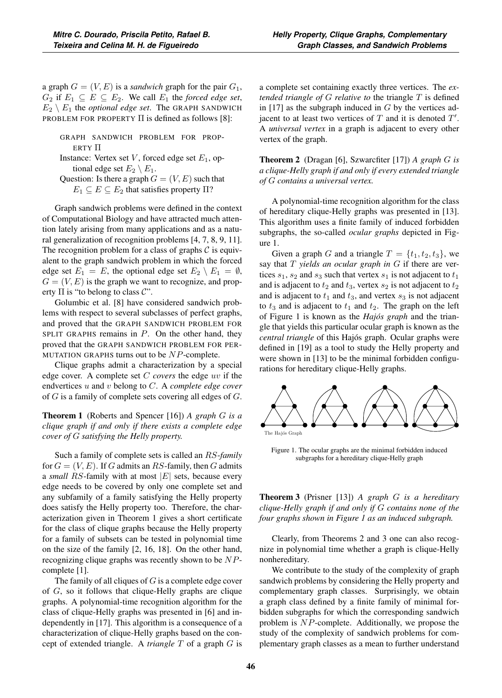a graph  $G = (V, E)$  is a *sandwich* graph for the pair  $G_1$ ,  $G_2$  if  $E_1 \subseteq E \subseteq E_2$ . We call  $E_1$  the *forced edge set*,  $E_2 \setminus E_1$  the *optional edge set*. The GRAPH SANDWICH PROBLEM FOR PROPERTY  $\Pi$  is defined as follows [8]:

GRAPH SANDWICH PROBLEM FOR PROP-ERTY Π

```
Instance: Vertex set V, forced edge set E_1, op-
tional edge set E_2 \setminus E_1.
```
Question: Is there a graph  $G = (V, E)$  such that  $E_1 \subseteq E \subseteq E_2$  that satisfies property  $\Pi$ ?

Graph sandwich problems were defined in the context of Computational Biology and have attracted much attention lately arising from many applications and as a natural generalization of recognition problems [4, 7, 8, 9, 11]. The recognition problem for a class of graphs  $C$  is equivalent to the graph sandwich problem in which the forced edge set  $E_1 = E$ , the optional edge set  $E_2 \setminus E_1 = \emptyset$ ,  $G = (V, E)$  is the graph we want to recognize, and property  $\Pi$  is "to belong to class  $\mathcal{C}$ ".

Golumbic et al. [8] have considered sandwich problems with respect to several subclasses of perfect graphs, and proved that the GRAPH SANDWICH PROBLEM FOR SPLIT GRAPHS remains in  $P$ . On the other hand, they proved that the GRAPH SANDWICH PROBLEM FOR PER-MUTATION GRAPHS turns out to be  $NP$ -complete.

Clique graphs admit a characterization by a special edge cover. A complete set C *covers* the edge uv if the endvertices u and v belong to C. A *complete edge cover* of G is a family of complete sets covering all edges of G.

Theorem 1 (Roberts and Spencer [16]) *A graph* G *is a clique graph if and only if there exists a complete edge cover of* G *satisfying the Helly property.*

Such a family of complete sets is called an RS-*family* for  $G = (V, E)$ . If G admits an RS-family, then G admits <sup>a</sup> *small* RS-family with at most <sup>|</sup>E<sup>|</sup> sets, because every edge needs to be covered by only one complete set and any subfamily of a family satisfying the Helly property does satisfy the Helly property too. Therefore, the characterization given in Theorem 1 gives a short certificate for the class of clique graphs because the Helly property for a family of subsets can be tested in polynomial time on the size of the family [2, 16, 18]. On the other hand, recognizing clique graphs was recently shown to be NPcomplete [1].

The family of all cliques of  $G$  is a complete edge cover of G, so it follows that clique-Helly graphs are clique graphs. A polynomial-time recognition algorithm for the class of clique-Helly graphs was presented in [6] and independently in [17]. This algorithm is a consequence of a characterization of clique-Helly graphs based on the concept of extended triangle. A *triangle* T of a graph G is

a complete set containing exactly three vertices. The *extended triangle of* G *relative to* the triangle T is defined in  $[17]$  as the subgraph induced in G by the vertices adjacent to at least two vertices of  $T$  and it is denoted  $T'$ . A *universal vertex* in a graph is adjacent to every other vertex of the graph.

Theorem 2 (Dragan [6], Szwarcfiter [17]) *A graph* G *is a clique-Helly graph if and only if every extended triangle of* G *contains a universal vertex.*

A polynomial-time recognition algorithm for the class of hereditary clique-Helly graphs was presented in [13]. This algorithm uses a finite family of induced forbidden subgraphs, the so-called *ocular graphs* depicted in Figure 1.

Given a graph G and a triangle  $T = \{t_1, t_2, t_3\}$ , we say that T *yields an ocular graph in* G if there are vertices  $s_1$ ,  $s_2$  and  $s_3$  such that vertex  $s_1$  is not adjacent to  $t_1$ and is adjacent to  $t_2$  and  $t_3$ , vertex  $s_2$  is not adjacent to  $t_2$ and is adjacent to  $t_1$  and  $t_3$ , and vertex  $s_3$  is not adjacent to  $t_3$  and is adjacent to  $t_1$  and  $t_2$ . The graph on the left of Figure 1 is known as the *Hajós graph* and the triangle that yields this particular ocular graph is known as the *central triangle* of this Hajós graph. Ocular graphs were defined in [19] as a tool to study the Helly property and were shown in [13] to be the minimal forbidden configurations for hereditary clique-Helly graphs.



Figure 1. The ocular graphs are the minimal forbidden induced subgraphs for a hereditary clique-Helly graph

Theorem 3 (Prisner [13]) *A graph* G *is a hereditary clique-Helly graph if and only if* G *contains none of the four graphs shown in Figure 1 as an induced subgraph.*

Clearly, from Theorems 2 and 3 one can also recognize in polynomial time whether a graph is clique-Helly nonhereditary.

We contribute to the study of the complexity of graph sandwich problems by considering the Helly property and complementary graph classes. Surprisingly, we obtain a graph class defined by a finite family of minimal forbidden subgraphs for which the corresponding sandwich problem is NP-complete. Additionally, we propose the study of the complexity of sandwich problems for complementary graph classes as a mean to further understand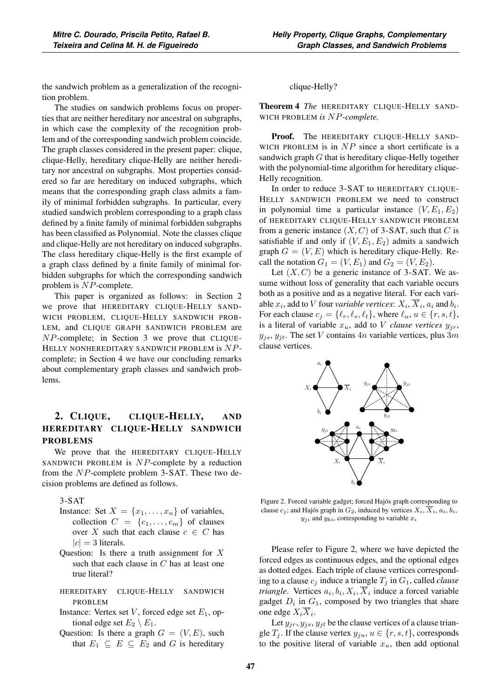the sandwich problem as a generalization of the recognition problem.

The studies on sandwich problems focus on properties that are neither hereditary nor ancestral on subgraphs, in which case the complexity of the recognition problem and of the corresponding sandwich problem coincide. The graph classes considered in the present paper: clique, clique-Helly, hereditary clique-Helly are neither hereditary nor ancestral on subgraphs. Most properties considered so far are hereditary on induced subgraphs, which means that the corresponding graph class admits a family of minimal forbidden subgraphs. In particular, every studied sandwich problem corresponding to a graph class defined by a finite family of minimal forbidden subgraphs has been classified as Polynomial. Note the classes clique and clique-Helly are not hereditary on induced subgraphs. The class hereditary clique-Helly is the first example of a graph class defined by a finite family of minimal forbidden subgraphs for which the corresponding sandwich problem is NP-complete.

This paper is organized as follows: in Section 2 we prove that HEREDITARY CLIQUE-HELLY SAND-WICH PROBLEM, CLIQUE-HELLY SANDWICH PROB-LEM, and CLIQUE GRAPH SANDWICH PROBLEM are NP-complete; in Section 3 we prove that CLIQUE-HELLY NONHEREDITARY SANDWICH PROBLEM is NPcomplete; in Section 4 we have our concluding remarks about complementary graph classes and sandwich problems.

# 2. CLIQUE, CLIQUE-HELLY, AND HEREDITARY CLIQUE-HELLY SANDWICH PROBLEMS

We prove that the HEREDITARY CLIQUE-HELLY SANDWICH PROBLEM is  $NP$ -complete by a reduction from the NP-complete problem 3-SAT. These two decision problems are defined as follows.

3-SAT

- Instance: Set  $X = \{x_1, \ldots, x_n\}$  of variables, collection  $C = \{c_1, \ldots, c_m\}$  of clauses over X such that each clause  $c \in C$  has  $|c| = 3$  literals.
- Question: Is there a truth assignment for  $X$ such that each clause in  $C$  has at least one true literal?
- HEREDITARY CLIQUE-HELLY SANDWICH PROBLEM
- Instance: Vertex set  $V$ , forced edge set  $E_1$ , optional edge set  $E_2 \setminus E_1$ .
- Question: Is there a graph  $G = (V, E)$ , such that  $E_1 \subseteq E \subseteq E_2$  and G is hereditary

#### clique-Helly?

Theorem 4 *The* HEREDITARY CLIQUE-HELLY SAND-WICH PROBLEM *is* NP*-complete.*

Proof. The HEREDITARY CLIQUE-HELLY SAND-WICH PROBLEM is in  $NP$  since a short certificate is a sandwich graph  $G$  that is hereditary clique-Helly together with the polynomial-time algorithm for hereditary clique-Helly recognition.

In order to reduce 3-SAT to HEREDITARY CLIQUE-HELLY SANDWICH PROBLEM we need to construct in polynomial time a particular instance  $(V, E_1, E_2)$ of HEREDITARY CLIQUE-HELLY SANDWICH PROBLEM from a generic instance  $(X, C)$  of 3-SAT, such that C is satisfiable if and only if  $(V, E_1, E_2)$  admits a sandwich graph  $G = (V, E)$  which is hereditary clique-Helly. Recall the notation  $G_1 = (V, E_1)$  and  $G_2 = (V, E_2)$ .

Let  $(X, C)$  be a generic instance of 3-SAT. We assume without loss of generality that each variable occurs both as a positive and as a negative literal. For each variable  $x_i$ , add to V four *variable vertices*:  $X_i$ ,  $\overline{X}_i$ ,  $a_i$  and  $b_i$ . For each clause  $c_j = \{\ell_r, \ell_s, \ell_t\}$ , where  $\ell_u, u \in \{r, s, t\}$ , is a literal of variable  $x_u$ , add to V *clause vertices*  $y_{jr}$ ,  $y_{js}$ ,  $y_{jt}$ . The set V contains  $4n$  variable vertices, plus  $3m$ clause vertices.



Figure 2. Forced variable gadget; forced Hajós graph corresponding to clause  $c_j$ ; and Hajós graph in  $G_2$ , induced by vertices  $X_i$ ,  $\overline{X}_i$ ,  $a_i$ ,  $b_i$ ,  $y_{ji}$  and  $y_{ki}$ , corresponding to variable  $x_i$ 

Please refer to Figure 2, where we have depicted the forced edges as continuous edges, and the optional edges as dotted edges. Each triple of clause vertices corresponding to a clause  $c_j$  induce a triangle  $T_j$  in  $G_1$ , called *clause triangle*. Vertices  $a_i, b_i, X_i, \overline{X}_i$  induce a forced variable gadget  $D_i$  in  $G_1$ , composed by two triangles that share one edge  $X_i X_i$ .

Let  $y_{ir}, y_{is}, y_{it}$  be the clause vertices of a clause triangle  $T_i$ . If the clause vertex  $y_{ju}$ ,  $u \in \{r, s, t\}$ , corresponds to the positive literal of variable  $x_u$ , then add optional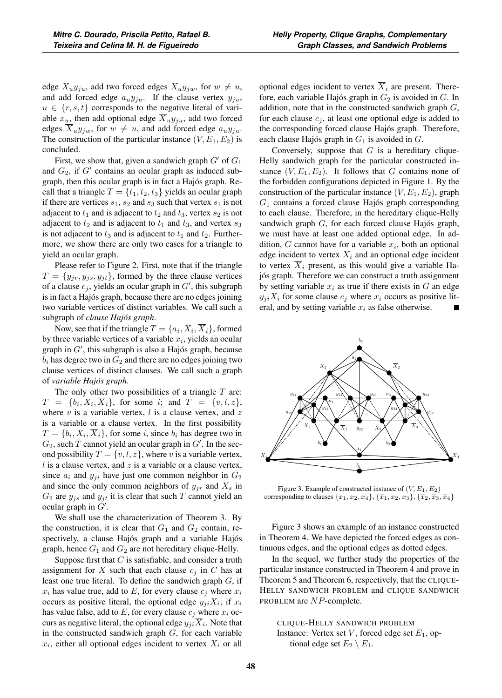edge  $X_uy_{ju}$ , add two forced edges  $X_uy_{ju}$ , for  $w \neq u$ , and add forced edge  $a_uy_{ju}$ . If the clause vertex  $y_{ju}$ ,  $u \in \{r, s, t\}$  corresponds to the negative literal of variable  $x_u$ , then add optional edge  $X_uy_{ju}$ , add two forced edges  $X_uy_{jw}$ , for  $w \neq u$ , and add forced edge  $a_uy_{ju}$ . The construction of the particular instance  $(V, E_1, E_2)$  is concluded.

First, we show that, given a sandwich graph  $G'$  of  $G_1$ and  $G_2$ , if  $G'$  contains an ocular graph as induced subgraph, then this ocular graph is in fact a Hajós graph. Recall that a triangle  $T = \{t_1, t_2, t_3\}$  yields an ocular graph if there are vertices  $s_1$ ,  $s_2$  and  $s_3$  such that vertex  $s_1$  is not adjacent to  $t_1$  and is adjacent to  $t_2$  and  $t_3$ , vertex  $s_2$  is not adjacent to  $t_2$  and is adjacent to  $t_1$  and  $t_3$ , and vertex  $s_3$ is not adjacent to  $t_3$  and is adjacent to  $t_1$  and  $t_2$ . Furthermore, we show there are only two cases for a triangle to yield an ocular graph.

Please refer to Figure 2. First, note that if the triangle  $T = \{y_{jr}, y_{js}, y_{jt}\}\$ , formed by the three clause vertices of a clause  $c_j$ , yields an ocular graph in  $G'$ , this subgraph is in fact a Hajós graph, because there are no edges joining two variable vertices of distinct variables. We call such a subgraph of *clause Hajós graph*.

Now, see that if the triangle  $T = \{a_i, X_i, \overline{X}_i\}$ , formed by three variable vertices of a variable  $x_i$ , yields an ocular graph in  $G'$ , this subgraph is also a Hajós graph, because  $b_i$  has degree two in  $G_2$  and there are no edges joining two clause vertices of distinct clauses. We call such a graph of *variable Hajós graph*.

The only other two possibilities of a triangle  $T$  are:  $T = \{b_i, X_i, X_i\}$ , for some *i*; and  $T = \{v, l, z\}$ , where  $v$  is a variable vertex,  $l$  is a clause vertex, and  $z$ is a variable or a clause vertex. In the first possibility  $T = \{b_i, X_i, \overline{X}_i\}$ , for some i, since  $b_i$  has degree two in  $G_2$ , such T cannot yield an ocular graph in  $G'$ . In the second possibility  $T = \{v, l, z\}$ , where v is a variable vertex,  $l$  is a clause vertex, and  $z$  is a variable or a clause vertex, since  $a_i$  and  $y_{ji}$  have just one common neighbor in  $G_2$ and since the only common neighbors of  $y_{jr}$  and  $X_s$  in  $G_2$  are  $y_{j_s}$  and  $y_{jt}$  it is clear that such T cannot yield an ocular graph in  $\ddot{G}$ .

We shall use the characterization of Theorem 3. By the construction, it is clear that  $G_1$  and  $G_2$  contain, respectively, a clause Hajós graph and a variable Hajós graph, hence  $G_1$  and  $G_2$  are not hereditary clique-Helly.

Suppose first that  $C$  is satisfiable, and consider a truth assignment for X such that each clause  $c_i$  in C has at least one true literal. To define the sandwich graph  $G$ , if  $x_i$  has value true, add to E, for every clause  $c_i$  where  $x_i$ occurs as positive literal, the optional edge  $y_{ji}X_i$ ; if  $x_i$ has value false, add to  $E$ , for every clause  $c_j$  where  $x_i$  occurs as negative literal, the optional edge  $y_{ii}X_i$ . Note that in the constructed sandwich graph  $G$ , for each variable  $x_i$ , either all optional edges incident to vertex  $X_i$  or all

optional edges incident to vertex  $\overline{X}_i$  are present. Therefore, each variable Hajós graph in  $G_2$  is avoided in  $G$ . In addition, note that in the constructed sandwich graph  $G$ , for each clause  $c_j$ , at least one optional edge is added to the corresponding forced clause Hajós graph. Therefore, each clause Hajós graph in  $G_1$  is avoided in  $G$ .

Conversely, suppose that  $G$  is a hereditary clique-Helly sandwich graph for the particular constructed instance  $(V, E_1, E_2)$ . It follows that G contains none of the forbidden configurations depicted in Figure 1. By the construction of the particular instance  $(V, E_1, E_2)$ , graph  $G_1$  contains a forced clause Hajós graph corresponding to each clause. Therefore, in the hereditary clique-Helly sandwich graph G, for each forced clause Hajós graph, we must have at least one added optional edge. In addition, G cannot have for a variable  $x_i$ , both an optional edge incident to vertex  $X_i$  and an optional edge incident to vertex  $\overline{X}_i$  present, as this would give a variable Hajós graph. Therefore we can construct a truth assignment by setting variable  $x_i$  as true if there exists in  $G$  an edge  $y_{ji}X_i$  for some clause  $c_j$  where  $x_i$  occurs as positive literal, and by setting variable  $x_i$  as false otherwise.



Figure 3. Example of constructed instance of  $(V, E_1, E_2)$ corresponding to clauses  $\{x_1, x_2, x_4\}, \{\overline{x}_1, x_2, x_3\}, \{\overline{x}_2, \overline{x}_3, \overline{x}_4\}$ 

Figure 3 shows an example of an instance constructed in Theorem 4. We have depicted the forced edges as continuous edges, and the optional edges as dotted edges.

In the sequel, we further study the properties of the particular instance constructed in Theorem 4 and prove in Theorem 5 and Theorem 6, respectively, that the CLIQUE-HELLY SANDWICH PROBLEM and CLIQUE SANDWICH PROBLEM are NP-complete.

CLIQUE-HELLY SANDWICH PROBLEM Instance: Vertex set V, forced edge set  $E_1$ , optional edge set  $E_2 \setminus E_1$ .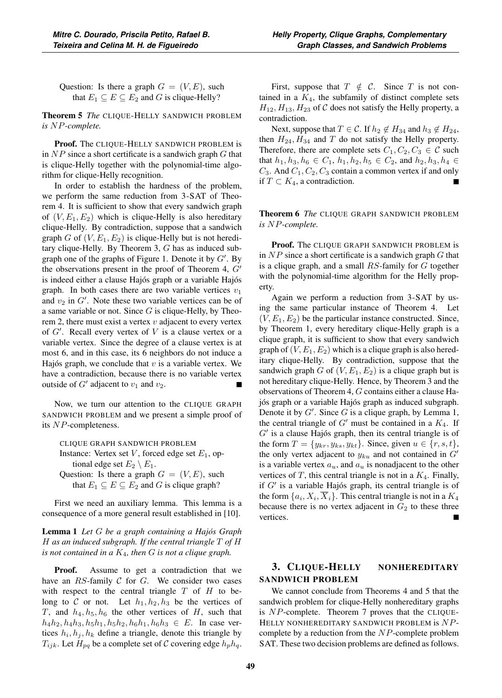Question: Is there a graph  $G = (V, E)$ , such that  $E_1 \subseteq E \subseteq E_2$  and G is clique-Helly?

Theorem 5 *The* CLIQUE-HELLY SANDWICH PROBLEM *is* NP*-complete.*

Proof. The CLIQUE-HELLY SANDWICH PROBLEM is in  $NP$  since a short certificate is a sandwich graph  $G$  that is clique-Helly together with the polynomial-time algorithm for clique-Helly recognition.

In order to establish the hardness of the problem, we perform the same reduction from 3-SAT of Theorem 4. It is sufficient to show that every sandwich graph of  $(V, E_1, E_2)$  which is clique-Helly is also hereditary clique-Helly. By contradiction, suppose that a sandwich graph G of  $(V, E_1, E_2)$  is clique-Helly but is not hereditary clique-Helly. By Theorem 3, G has as induced subgraph one of the graphs of Figure 1. Denote it by  $G'$ . By the observations present in the proof of Theorem 4,  $G'$ is indeed either a clause Hajós graph or a variable Hajós graph. In both cases there are two variable vertices  $v_1$ and  $v_2$  in  $G'$ . Note these two variable vertices can be of a same variable or not. Since  $G$  is clique-Helly, by Theorem 2, there must exist a vertex  $v$  adjacent to every vertex of  $G'$ . Recall every vertex of  $V$  is a clause vertex or a variable vertex. Since the degree of a clause vertex is at most 6, and in this case, its 6 neighbors do not induce a Hajós graph, we conclude that  $v$  is a variable vertex. We have a contradiction, because there is no variable vertex outside of  $G'$  adjacent to  $v_1$  and  $v_2$ .

Now, we turn our attention to the CLIQUE GRAPH SANDWICH PROBLEM and we present a simple proof of its NP-completeness.

CLIQUE GRAPH SANDWICH PROBLEM

Instance: Vertex set  $V$ , forced edge set  $E_1$ , optional edge set  $E_2 \setminus E_1$ .

Question: Is there a graph  $G = (V, E)$ , such that  $E_1 \subseteq E \subseteq E_2$  and G is clique graph?

First we need an auxiliary lemma. This lemma is a consequence of a more general result established in [10].

Lemma 1 *Let* G *be a graph containing a Hajós Graph* H *as an induced subgraph. If the central triangle* T *of* H *is not contained in a* K4*, then* G *is not a clique graph.*

**Proof.** Assume to get a contradiction that we have an  $RS$ -family  $C$  for  $G$ . We consider two cases with respect to the central triangle  $T$  of  $H$  to belong to C or not. Let  $h_1, h_2, h_3$  be the vertices of T, and  $h_4$ ,  $h_5$ ,  $h_6$  the other vertices of H, such that  $h_4h_2$ ,  $h_4h_3$ ,  $h_5h_1$ ,  $h_5h_2$ ,  $h_6h_1$ ,  $h_6h_3 \in E$ . In case vertices  $h_i, h_j, h_k$  define a triangle, denote this triangle by  $T_{ijk}$ . Let  $H_{pq}$  be a complete set of C covering edge  $h_p h_q$ .

First, suppose that  $T \notin \mathcal{C}$ . Since T is not contained in a  $K_4$ , the subfamily of distinct complete sets  $H_{12}, H_{13}, H_{23}$  of C does not satisfy the Helly property, a contradiction.

Next, suppose that  $T \in \mathcal{C}$ . If  $h_2 \notin H_{34}$  and  $h_3 \notin H_{24}$ , then  $H_{24}$ ,  $H_{34}$  and T do not satisfy the Helly property. Therefore, there are complete sets  $C_1, C_2, C_3 \in \mathcal{C}$  such that  $h_1, h_3, h_6 \in C_1$ ,  $h_1, h_2, h_5 \in C_2$ , and  $h_2, h_3, h_4 \in$  $C_3$ . And  $C_1$ ,  $C_2$ ,  $C_3$  contain a common vertex if and only if  $T \subset K_4$ , a contradiction.

Theorem 6 *The* CLIQUE GRAPH SANDWICH PROBLEM *is* NP*-complete.*

Proof. The CLIQUE GRAPH SANDWICH PROBLEM is in  $NP$  since a short certificate is a sandwich graph  $G$  that is a clique graph, and a small  $RS$ -family for  $G$  together with the polynomial-time algorithm for the Helly property.

Again we perform a reduction from 3-SAT by using the same particular instance of Theorem 4. Let  $(V, E_1, E_2)$  be the particular instance constructed. Since, by Theorem 1, every hereditary clique-Helly graph is a clique graph, it is sufficient to show that every sandwich graph of  $(V, E_1, E_2)$  which is a clique graph is also hereditary clique-Helly. By contradiction, suppose that the sandwich graph G of  $(V, E_1, E_2)$  is a clique graph but is not hereditary clique-Helly. Hence, by Theorem 3 and the observations of Theorem 4, G contains either a clause Hajós graph or a variable Hajós graph as induced subgraph. Denote it by  $G'$ . Since  $G$  is a clique graph, by Lemma 1, the central triangle of  $G'$  must be contained in a  $K_4$ . If  $G'$  is a clause Hajós graph, then its central triangle is of the form  $T = \{y_{kr}, y_{ks}, y_{kt}\}\)$ . Since, given  $u \in \{r, s, t\}\,$ , the only vertex adjacent to  $y_{ku}$  and not contained in  $\hat{G}'$ is a variable vertex  $a_u$ , and  $a_u$  is nonadjacent to the other vertices of  $T$ , this central triangle is not in a  $K_4$ . Finally, if  $G'$  is a variable Hajós graph, its central triangle is of the form  $\{a_i, X_i, X_i\}$ . This central triangle is not in a  $K_4$ because there is no vertex adjacent in  $G_2$  to these three vertices.

# 3. CLIQUE-HELLY NONHEREDITARY SANDWICH PROBLEM

We cannot conclude from Theorems 4 and 5 that the sandwich problem for clique-Helly nonhereditary graphs is NP-complete. Theorem 7 proves that the CLIQUE-HELLY NONHEREDITARY SANDWICH PROBLEM is NPcomplete by a reduction from the  $NP$ -complete problem SAT. These two decision problems are defined as follows.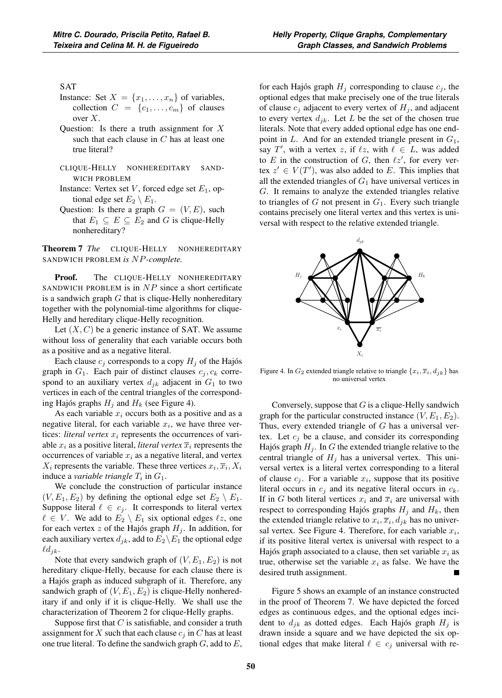### SAT

- Instance: Set  $X = \{x_1, \ldots, x_n\}$  of variables, collection  $C = \{c_1, \ldots, c_m\}$  of clauses over  $X$ .
- Question: Is there a truth assignment for  $X$ such that each clause in  $C$  has at least one true literal?
- CLIQUE-HELLY NONHEREDITARY SAND-WICH PROBLEM
- Instance: Vertex set  $V$ , forced edge set  $E_1$ , optional edge set  $E_2 \setminus E_1$ .
- Question: Is there a graph  $G = (V, E)$ , such that  $E_1 \subseteq E \subseteq E_2$  and G is clique-Helly nonhereditary?

Theorem 7 *The* CLIQUE-HELLY NONHEREDITARY SANDWICH PROBLEM *is* NP*-complete.*

Proof. The CLIQUE-HELLY NONHEREDITARY SANDWICH PROBLEM is in  $NP$  since a short certificate is a sandwich graph  $G$  that is clique-Helly nonhereditary together with the polynomial-time algorithms for clique-Helly and hereditary clique-Helly recognition.

Let  $(X, C)$  be a generic instance of SAT. We assume without loss of generality that each variable occurs both as a positive and as a negative literal.

Each clause  $c_j$  corresponds to a copy  $H_j$  of the Hajós graph in  $G_1$ . Each pair of distinct clauses  $c_j, c_k$  correspond to an auxiliary vertex  $d_{jk}$  adjacent in  $G_1$  to two vertices in each of the central triangles of the corresponding Hajós graphs  $H_j$  and  $H_k$  (see Figure 4).

As each variable  $x_i$  occurs both as a positive and as a negative literal, for each variable  $x_i$ , we have three vertices: *literal vertex*  $x_i$  represents the occurrences of variable  $x_i$  as a positive literal, *literal vertex*  $\overline{x}_i$  represents the occurrences of variable  $x_i$  as a negative literal, and vertex  $X_i$  represents the variable. These three vertices  $x_i, \overline{x}_i, X_i$ induce a *variable triangle*  $T_i$  in  $G_1$ .

We conclude the construction of particular instance  $(V, E_1, E_2)$  by defining the optional edge set  $E_2 \setminus E_1$ . Suppose literal  $\ell \in c_j$ . It corresponds to literal vertex  $\ell \in V$ . We add to  $E_2 \setminus E_1$  six optional edges  $\ell z$ , one for each vertex z of the Hajós graph  $H_j$ . In addition, for each auxiliary vertex  $d_{jk}$ , add to  $E_2 \backslash E_1$  the optional edge  $\ell d_{jk}.$ 

Note that every sandwich graph of  $(V, E_1, E_2)$  is not hereditary clique-Helly, because for each clause there is a Hajós graph as induced subgraph of it. Therefore, any sandwich graph of  $(V, E_1, E_2)$  is clique-Helly nonhereditary if and only if it is clique-Helly. We shall use the characterization of Theorem 2 for clique-Helly graphs.

Suppose first that  $C$  is satisfiable, and consider a truth assignment for X such that each clause  $c_i$  in C has at least one true literal. To define the sandwich graph  $G$ , add to  $E$ ,

for each Hajós graph  $H_j$  corresponding to clause  $c_j$ , the optional edges that make precisely one of the true literals of clause  $c_j$  adjacent to every vertex of  $H_j$ , and adjacent to every vertex  $d_{jk}$ . Let L be the set of the chosen true literals. Note that every added optional edge has one endpoint in  $L$ . And for an extended triangle present in  $G_1$ , say T', with a vertex z, if  $\ell z$ , with  $\ell \in L$ , was added to E in the construction of G, then  $\ell z'$ , for every vertex  $z' \in V(T')$ , was also added to E. This implies that all the extended triangles of  $G_1$  have universal vertices in G. It remains to analyze the extended triangles relative to triangles of  $G$  not present in  $G_1$ . Every such triangle contains precisely one literal vertex and this vertex is universal with respect to the relative extended triangle.



Figure 4. In  $G_2$  extended triangle relative to triangle  $\{x_i, \overline{x}_i, d_{ik}\}\$  has no universal vertex

Conversely, suppose that  $G$  is a clique-Helly sandwich graph for the particular constructed instance  $(V, E_1, E_2)$ . Thus, every extended triangle of  $G$  has a universal vertex. Let  $c_i$  be a clause, and consider its corresponding Hajós graph  $H_i$ . In G the extended triangle relative to the central triangle of  $H_i$  has a universal vertex. This universal vertex is a literal vertex corresponding to a literal of clause  $c_i$ . For a variable  $x_i$ , suppose that its positive literal occurs in  $c_i$  and its negative literal occurs in  $c_k$ . If in G both literal vertices  $x_i$  and  $\overline{x}_i$  are universal with respect to corresponding Hajós graphs  $H_i$  and  $H_k$ , then the extended triangle relative to  $x_i, \overline{x}_i, d_{ik}$  has no universal vertex. See Figure 4. Therefore, for each variable  $x_i$ , if its positive literal vertex is universal with respect to a Hajós graph associated to a clause, then set variable  $x_i$  as true, otherwise set the variable  $x_i$  as false. We have the desired truth assignment.

Figure 5 shows an example of an instance constructed in the proof of Theorem 7. We have depicted the forced edges as continuous edges, and the optional edges incident to  $d_{ik}$  as dotted edges. Each Hajós graph  $H_i$  is drawn inside a square and we have depicted the six optional edges that make literal  $\ell \in c_j$  universal with re-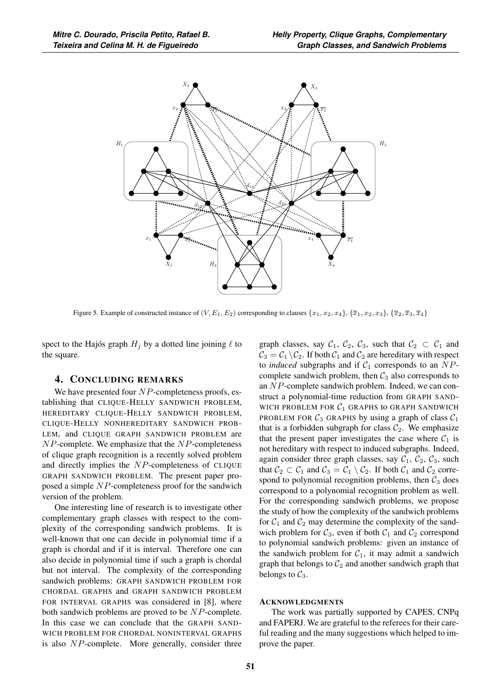

Figure 5. Example of constructed instance of  $(V, E_1, E_2)$  corresponding to clauses  $\{x_1, x_2, x_4\}$ ,  $\{\overline{x_1}, x_2, x_3\}$ ,  $\{\overline{x_2}, \overline{x_3}, \overline{x_4}\}$ 

spect to the Hajós graph  $H_j$  by a dotted line joining  $\ell$  to the square.

## 4. CONCLUDING REMARKS

We have presented four  $NP$ -completeness proofs, establishing that CLIQUE-HELLY SANDWICH PROBLEM, HEREDITARY CLIQUE-HELLY SANDWICH PROBLEM, CLIQUE-HELLY NONHEREDITARY SANDWICH PROB-LEM, and CLIQUE GRAPH SANDWICH PROBLEM are  $NP$ -complete. We emphasize that the  $NP$ -completeness of clique graph recognition is a recently solved problem and directly implies the NP-completeness of CLIQUE GRAPH SANDWICH PROBLEM. The present paper proposed a simple NP-completeness proof for the sandwich version of the problem.

One interesting line of research is to investigate other complementary graph classes with respect to the complexity of the corresponding sandwich problems. It is well-known that one can decide in polynomial time if a graph is chordal and if it is interval. Therefore one can also decide in polynomial time if such a graph is chordal but not interval. The complexity of the corresponding sandwich problems: GRAPH SANDWICH PROBLEM FOR CHORDAL GRAPHS and GRAPH SANDWICH PROBLEM FOR INTERVAL GRAPHS was considered in [8], where both sandwich problems are proved to be NP-complete. In this case we can conclude that the GRAPH SAND-WICH PROBLEM FOR CHORDAL NONINTERVAL GRAPHS is also NP-complete. More generally, consider three graph classes, say  $C_1$ ,  $C_2$ ,  $C_3$ , such that  $C_2 \subset C_1$  and  $C_3 = C_1 \backslash C_2$ . If both  $C_1$  and  $C_2$  are hereditary with respect to *induced* subgraphs and if  $C_1$  corresponds to an  $NP$ complete sandwich problem, then  $C_3$  also corresponds to an NP-complete sandwich problem. Indeed, we can construct a polynomial-time reduction from GRAPH SAND-WICH PROBLEM FOR  $C_1$  GRAPHS to GRAPH SANDWICH PROBLEM FOR  $C_3$  GRAPHS by using a graph of class  $C_1$ that is a forbidden subgraph for class  $C_2$ . We emphasize that the present paper investigates the case where  $C_1$  is not hereditary with respect to induced subgraphs. Indeed, again consider three graph classes, say  $C_1$ ,  $C_2$ ,  $C_3$ , such that  $C_2 \subset C_1$  and  $C_3 = C_1 \setminus C_2$ . If both  $C_1$  and  $C_2$  correspond to polynomial recognition problems, then  $C_3$  does correspond to a polynomial recognition problem as well. For the corresponding sandwich problems, we propose the study of how the complexity of the sandwich problems for  $C_1$  and  $C_2$  may determine the complexity of the sandwich problem for  $C_3$ , even if both  $C_1$  and  $C_2$  correspond to polynomial sandwich problems: given an instance of the sandwich problem for  $C_1$ , it may admit a sandwich graph that belongs to  $C_2$  and another sandwich graph that belongs to  $C_3$ .

#### ACKNOWLEDGMENTS

The work was partially supported by CAPES, CNPq and FAPERJ. We are grateful to the referees for their careful reading and the many suggestions which helped to improve the paper.